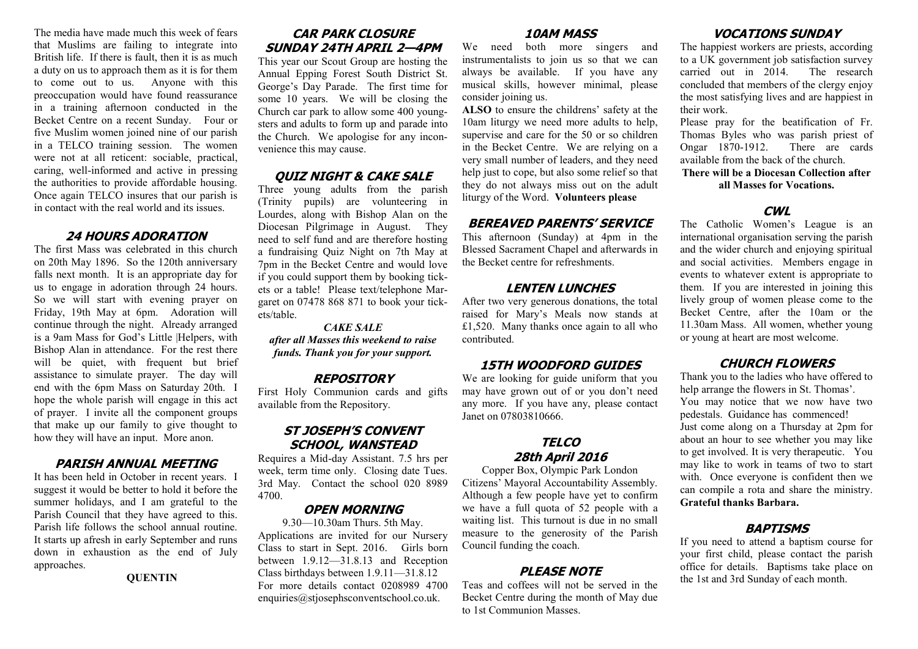The media have made much this week of fears that Muslims are failing to integrate into British life. If there is fault, then it is as much a duty on us to approach them as it is for them to come out to us. Anyone with this preoccupation would have found reassurance in a training afternoon conducted in the Becket Centre on a recent Sunday. Four or five Muslim women joined nine of our parish in a TELCO training session. The women were not at all reticent: sociable, practical, caring, well-informed and active in pressing the authorities to provide affordable housing. Once again TELCO insures that our parish is in contact with the real world and its issues.

#### **24 HOURS ADORATION**

The first Mass was celebrated in this church on 20th May 1896. So the 120th anniversary falls next month. It is an appropriate day for us to engage in adoration through 24 hours. So we will start with evening prayer on Friday, 19th May at 6pm. Adoration will continue through the night. Already arranged is a 9am Mass for God's Little |Helpers, with Bishop Alan in attendance. For the rest there will be quiet, with frequent but brief assistance to simulate prayer. The day will end with the 6pm Mass on Saturday 20th. I hope the whole parish will engage in this act of prayer. I invite all the component groups that make up our family to give thought to how they will have an input. More anon.

#### **PARISH ANNUAL MEETING**

It has been held in October in recent years. I suggest it would be better to hold it before the summer holidays, and I am grateful to the Parish Council that they have agreed to this. Parish life follows the school annual routine. It starts up afresh in early September and runs down in exhaustion as the end of July approaches.

**QUENTIN**

## **CAR PARK CLOSURE SUNDAY 24TH APRIL 2—4PM**

This year our Scout Group are hosting the Annual Epping Forest South District St. George's Day Parade. The first time for some 10 years. We will be closing the Church car park to allow some 400 youngsters and adults to form up and parade into the Church. We apologise for any inconvenience this may cause.

#### **QUIZ NIGHT & CAKE SALE**

Three young adults from the parish (Trinity pupils) are volunteering in Lourdes, along with Bishop Alan on the Diocesan Pilgrimage in August. They need to self fund and are therefore hosting a fundraising Quiz Night on 7th May at 7pm in the Becket Centre and would love if you could support them by booking tickets or a table! Please text/telephone Margaret on 07478 868 871 to book your tickets/table.

## *CAKE SALE*

*after all Masses this weekend to raise funds. Thank you for your support.*

#### **REPOSITORY**

First Holy Communion cards and gifts available from the Repository.

## **ST JOSEPH'S CONVENT SCHOOL, WANSTEAD**

Requires a Mid-day Assistant. 7.5 hrs per week, term time only. Closing date Tues. 3rd May. Contact the school 020 8989 4700.

## **OPEN MORNING**

9.30—10.30am Thurs. 5th May. Applications are invited for our Nursery Class to start in Sept. 2016. Girls born between 1.9.12—31.8.13 and Reception Class birthdays between 1.9.11—31.8.12 For more details contact 0208989 4700 enquiries@stjosephsconventschool.co.uk.

#### **10AM MASS**

We need both more singers and instrumentalists to join us so that we can always be available. If you have any musical skills, however minimal, please consider joining us.

**ALSO** to ensure the childrens' safety at the 10am liturgy we need more adults to help, supervise and care for the 50 or so children in the Becket Centre. We are relying on a very small number of leaders, and they need help just to cope, but also some relief so that they do not always miss out on the adult liturgy of the Word. **Volunteers please**

## **BEREAVED PARENTS' SERVICE**

This afternoon (Sunday) at 4pm in the Blessed Sacrament Chapel and afterwards in the Becket centre for refreshments.

## **LENTEN LUNCHES**

After two very generous donations, the total raised for Mary's Meals now stands at £1,520. Many thanks once again to all who contributed.

## **15TH WOODFORD GUIDES**

We are looking for guide uniform that you may have grown out of or you don't need any more. If you have any, please contact Janet on 07803810666.

#### **TELCO 28th April 2016**

Copper Box, Olympic Park London Citizens' Mayoral Accountability Assembly. Although a few people have yet to confirm we have a full quota of 52 people with a waiting list. This turnout is due in no small measure to the generosity of the Parish Council funding the coach.

## **PLEASE NOTE**

Teas and coffees will not be served in the Becket Centre during the month of May due to 1st Communion Masses.

## **VOCATIONS SUNDAY**

The happiest workers are priests, according to a UK government job satisfaction survey carried out in 2014. The research concluded that members of the clergy enjoy the most satisfying lives and are happiest in their work.

Please pray for the beatification of Fr. Thomas Byles who was parish priest of Ongar 1870-1912. There are cards available from the back of the church.

**There will be a Diocesan Collection after all Masses for Vocations.**

#### **CWL**

The Catholic Women's League is an international organisation serving the parish and the wider church and enjoying spiritual and social activities. Members engage in events to whatever extent is appropriate to them. If you are interested in joining this lively group of women please come to the Becket Centre, after the 10am or the 11.30am Mass. All women, whether young or young at heart are most welcome.

## **CHURCH FLOWERS**

Thank you to the ladies who have offered to help arrange the flowers in St. Thomas'. You may notice that we now have two pedestals. Guidance has commenced! Just come along on a Thursday at 2pm for about an hour to see whether you may like to get involved. It is very therapeutic. You may like to work in teams of two to start with. Once everyone is confident then we can compile a rota and share the ministry. **Grateful thanks Barbara.**

## **BAPTISMS**

If you need to attend a baptism course for your first child, please contact the parish office for details. Baptisms take place on the 1st and 3rd Sunday of each month.